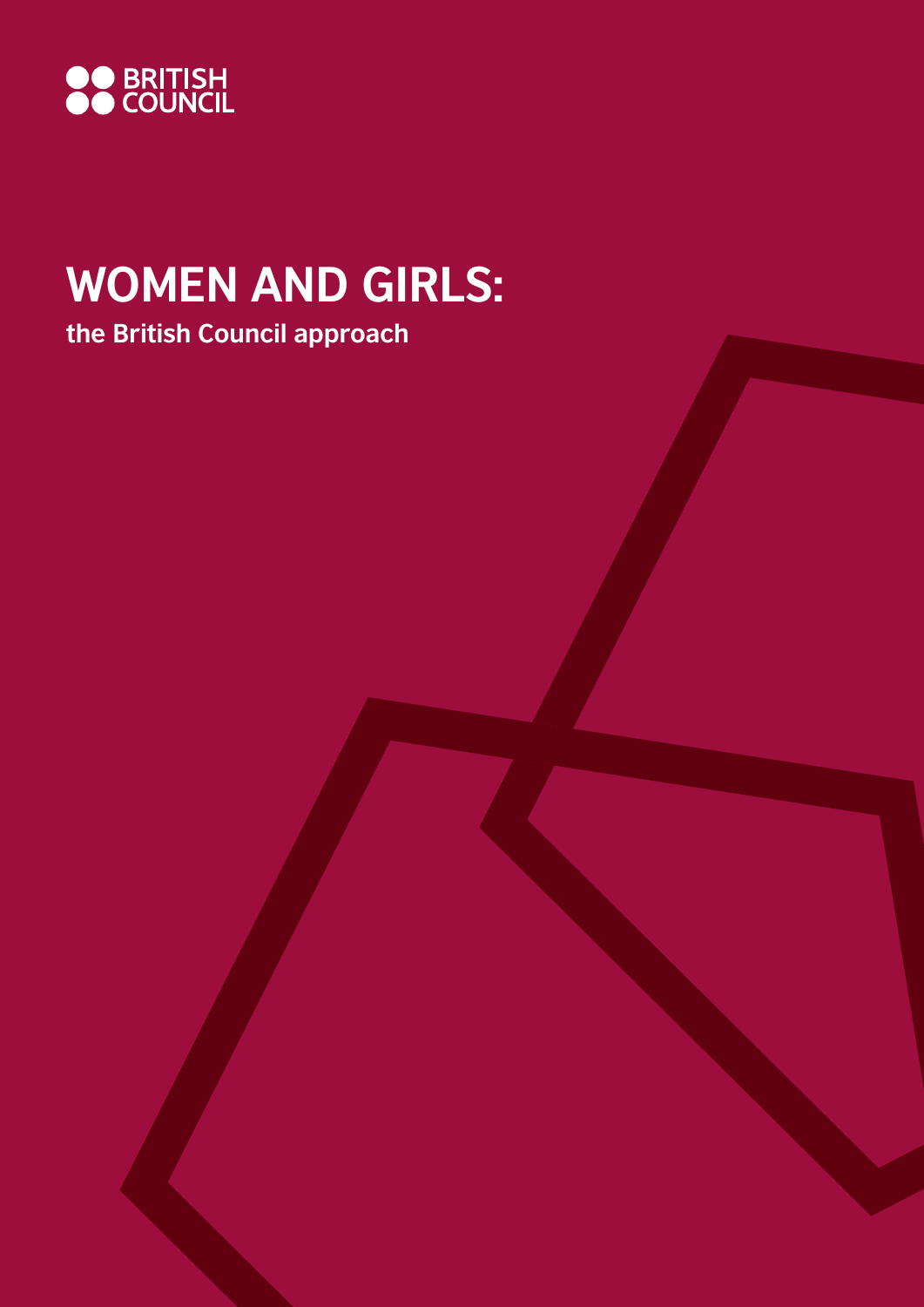

# **WOMEN AND GIRLS:**

**the British Council approach**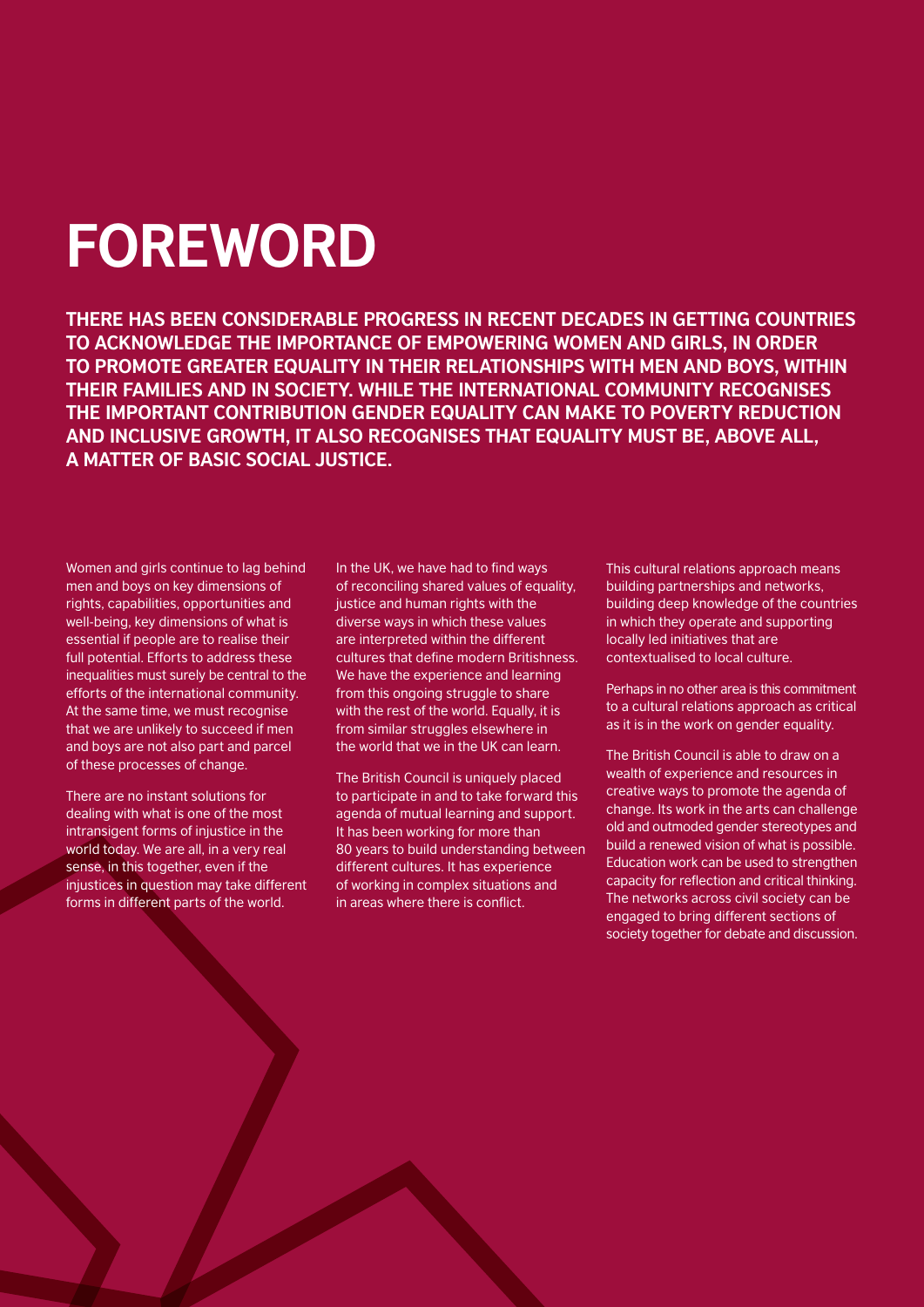## **FOREWORD**

**THERE HAS BEEN CONSIDERABLE PROGRESS IN RECENT DECADES IN GETTING COUNTRIES TO ACKNOWLEDGE THE IMPORTANCE OF EMPOWERING WOMEN AND GIRLS, IN ORDER TO PROMOTE GREATER EQUALITY IN THEIR RELATIONSHIPS WITH MEN AND BOYS, WITHIN THEIR FAMILIES AND IN SOCIETY. WHILE THE INTERNATIONAL COMMUNITY RECOGNISES THE IMPORTANT CONTRIBUTION GENDER EQUALITY CAN MAKE TO POVERTY REDUCTION AND INCLUSIVE GROWTH, IT ALSO RECOGNISES THAT EQUALITY MUST BE, ABOVE ALL, A MATTER OF BASIC SOCIAL JUSTICE.**

Women and girls continue to lag behind men and boys on key dimensions of rights, capabilities, opportunities and well-being, key dimensions of what is essential if people are to realise their full potential. Efforts to address these inequalities must surely be central to the efforts of the international community. At the same time, we must recognise that we are unlikely to succeed if men and boys are not also part and parcel of these processes of change.

There are no instant solutions for dealing with what is one of the most intransigent forms of injustice in the world today. We are all, in a very real sense, in this together, even if the injustices in question may take different forms in different parts of the world.

In the UK, we have had to find ways of reconciling shared values of equality, justice and human rights with the diverse ways in which these values are interpreted within the different cultures that define modern Britishness. We have the experience and learning from this ongoing struggle to share with the rest of the world. Equally, it is from similar struggles elsewhere in the world that we in the UK can learn.

The British Council is uniquely placed to participate in and to take forward this agenda of mutual learning and support. It has been working for more than 80 years to build understanding between different cultures. It has experience of working in complex situations and in areas where there is conflict.

This cultural relations approach means building partnerships and networks, building deep knowledge of the countries in which they operate and supporting locally led initiatives that are contextualised to local culture.

Perhaps in no other area is this commitment to a cultural relations approach as critical as it is in the work on gender equality.

The British Council is able to draw on a wealth of experience and resources in creative ways to promote the agenda of change. Its work in the arts can challenge old and outmoded gender stereotypes and build a renewed vision of what is possible. Education work can be used to strengthen capacity for reflection and critical thinking. The networks across civil society can be engaged to bring different sections of society together for debate and discussion.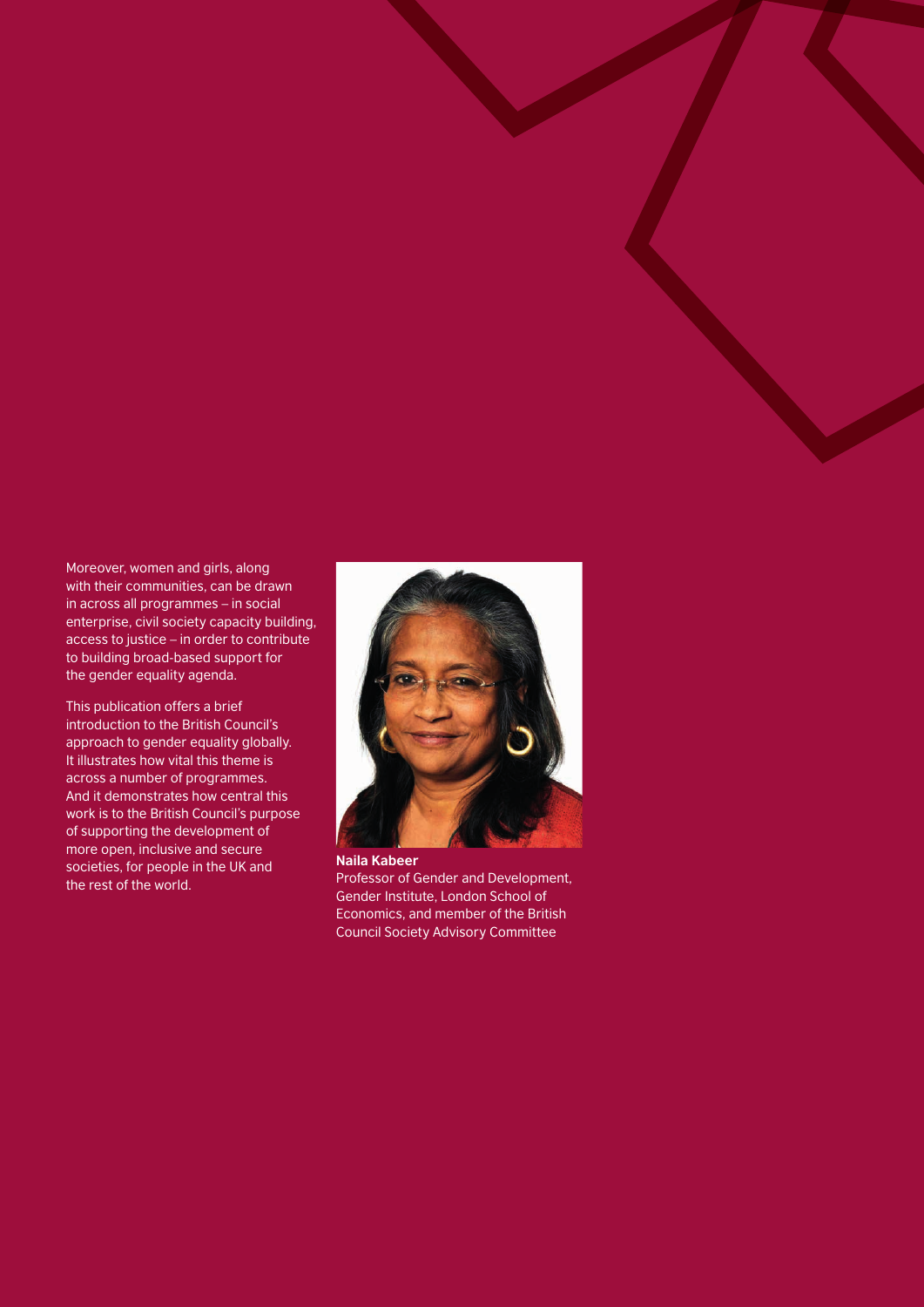Moreover, women and girls, along with their communities, can be drawn in across all programmes – in social enterprise, civil society capacity building, access to justice – in order to contribute to building broad-based support for the gender equality agenda.

This publication offers a brief introduction to the British Council's approach to gender equality globally. It illustrates how vital this theme is across a number of programmes. And it demonstrates how central this work is to the British Council's purpose of supporting the development of more open, inclusive and secure societies, for people in the UK and the rest of the world.



**Naila Kabeer** Professor of Gender and Development, Gender Institute, London School of Economics, and member of the British Council Society Advisory Committee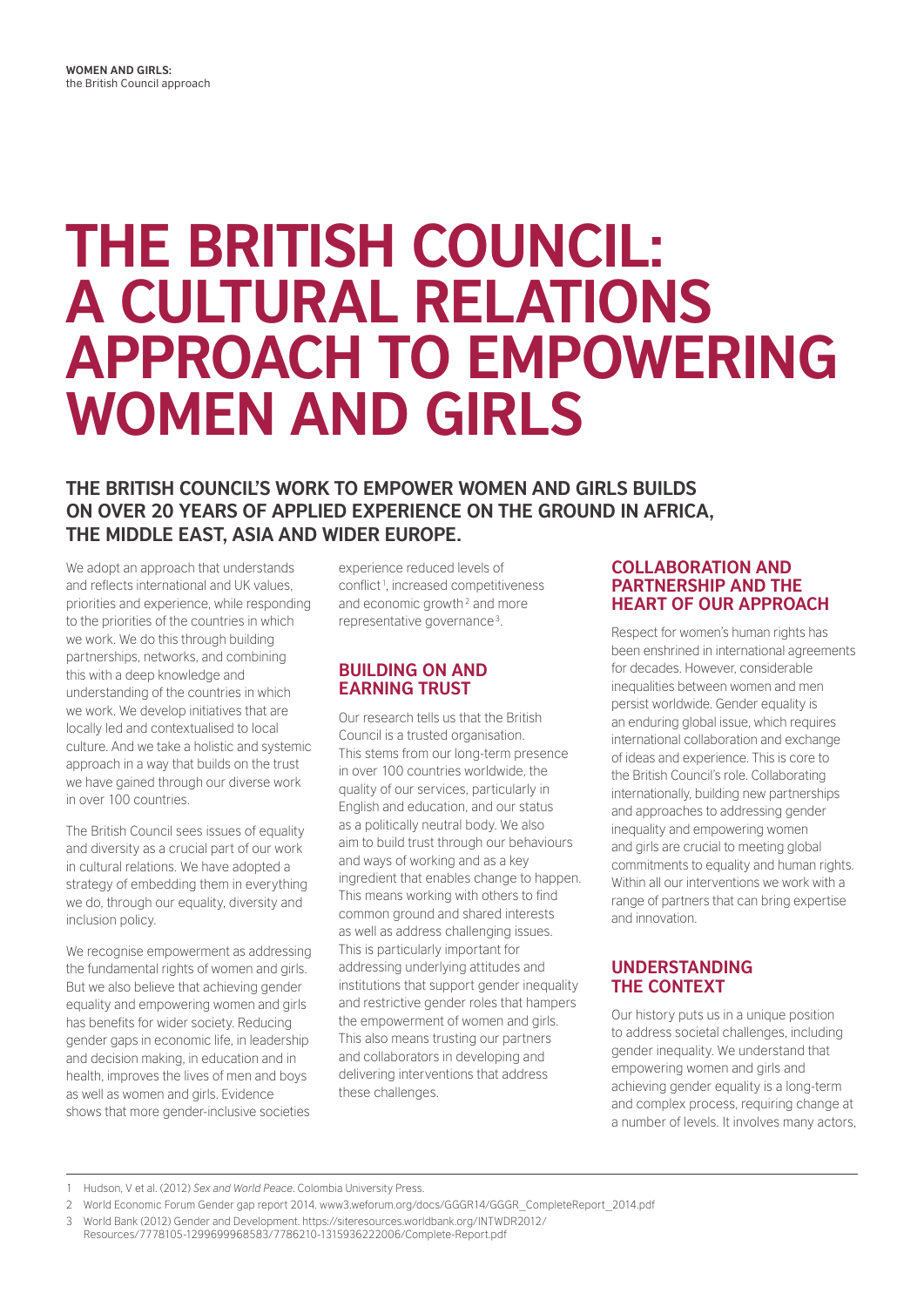## **THE BRITISH COUNCIL: A CULTURAL RELATIONS APPROACH TO EMPOWERING WOMEN AND GIRLS**

#### **THE BRITISH COUNCIL'S WORK TO EMPOWER WOMEN AND GIRLS BUILDS ON OVER 20 YEARS OF APPLIED EXPERIENCE ON THE GROUND IN AFRICA, THE MIDDLE EAST, ASIA AND WIDER EUROPE.**

We adopt an approach that understands and reflects international and UK values, priorities and experience, while responding to the priorities of the countries in which we work. We do this through building partnerships, networks, and combining this with a deep knowledge and understanding of the countries in which we work. We develop initiatives that are locally led and contextualised to local culture. And we take a holistic and systemic approach in a way that builds on the trust we have gained through our diverse work in over 100 countries.

The British Council sees issues of equality and diversity as a crucial part of our work in cultural relations. We have adopted a strategy of embedding them in everything we do, through our equality, diversity and inclusion policy.

We recognise empowerment as addressing the fundamental rights of women and girls. But we also believe that achieving gender equality and empowering women and girls has benefits for wider society. Reducing gender gaps in economic life, in leadership and decision making, in education and in health, improves the lives of men and boys as well as women and girls. Evidence shows that more gender-inclusive societies

experience reduced levels of conflict<sup>1</sup>, increased competitiveness and economic growth<sup>2</sup> and more representative governance 3.

#### **BUILDING ON AND EARNING TRUST**

Our research tells us that the British Council is a trusted organisation. This stems from our long-term presence in over 100 countries worldwide, the quality of our services, particularly in English and education, and our status as a politically neutral body. We also aim to build trust through our behaviours and ways of working and as a key ingredient that enables change to happen. This means working with others to find common ground and shared interests as well as address challenging issues. This is particularly important for addressing underlying attitudes and institutions that support gender inequality and restrictive gender roles that hampers the empowerment of women and girls. This also means trusting our partners and collaborators in developing and delivering interventions that address these challenges.

#### **COLLABORATION AND PARTNERSHIP AND THE HEART OF OUR APPROACH**

Respect for women's human rights has been enshrined in international agreements for decades. However, considerable inequalities between women and men persist worldwide. Gender equality is an enduring global issue, which requires international collaboration and exchange of ideas and experience. This is core to the British Council's role. Collaborating internationally, building new partnerships and approaches to addressing gender inequality and empowering women and girls are crucial to meeting global commitments to equality and human rights. Within all our interventions we work with a range of partners that can bring expertise and innovation.

#### **UNDERSTANDING THE CONTEXT**

Our history puts us in a unique position to address societal challenges, including gender inequality. We understand that empowering women and girls and achieving gender equality is a long-term and complex process, requiring change at a number of levels. It involves many actors,

Resources/7778105-1299699968583/7786210-1315936222006/Complete-Report.pdf

<sup>1</sup> Hudson, V et al. (2012) *Sex and World Peace*. Colombia University Press.

<sup>2</sup> World Economic Forum Gender gap report 2014. www3.weforum.org/docs/GGGR14/GGGR\_CompleteReport\_2014.pdf

<sup>3</sup> World Bank (2012) Gender and Development. https://siteresources.worldbank.org/INTWDR2012/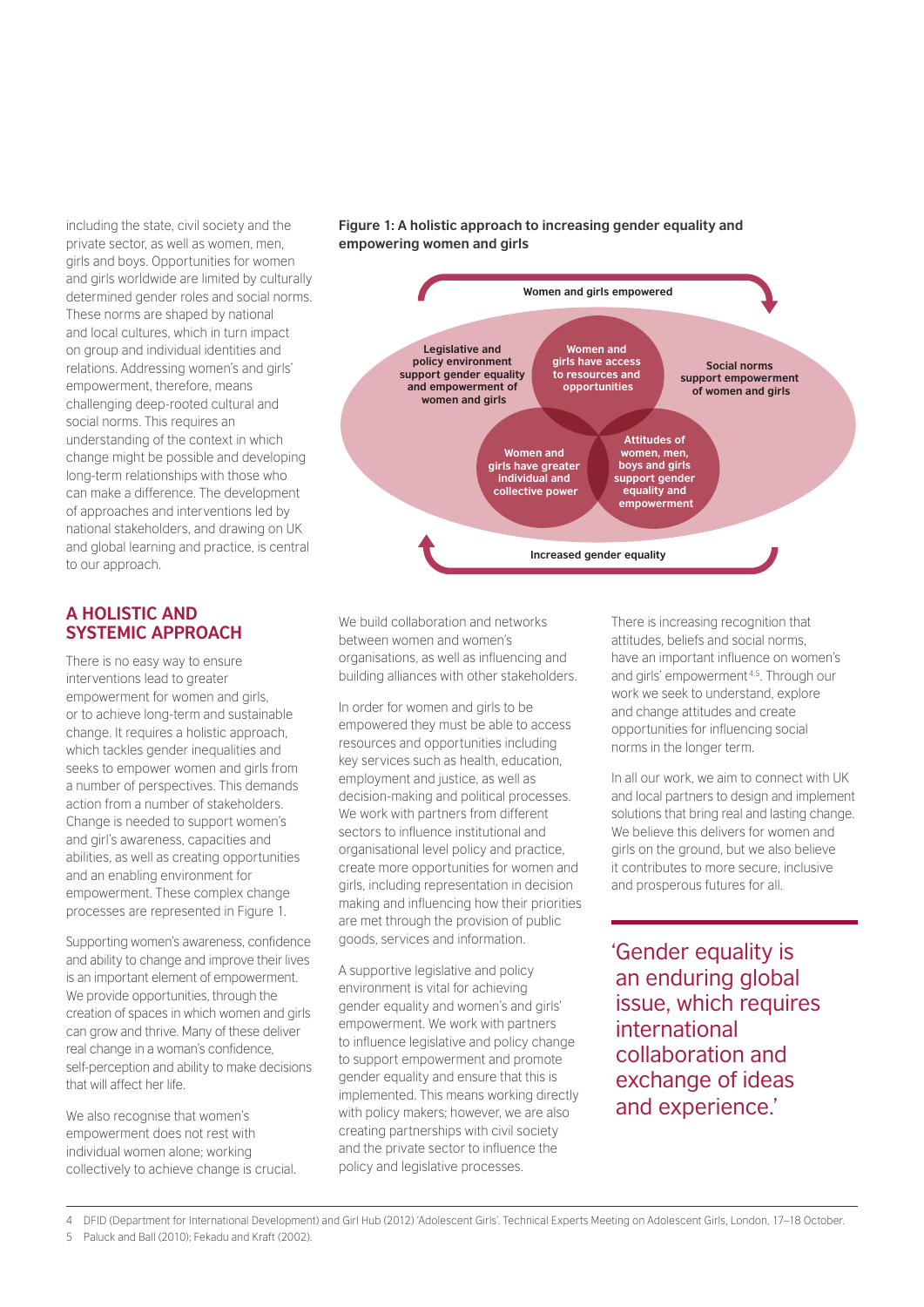including the state, civil society and the private sector, as well as women, men, girls and boys. Opportunities for women and girls worldwide are limited by culturally determined gender roles and social norms. These norms are shaped by national and local cultures, which in turn impact on group and individual identities and relations. Addressing women's and girls' empowerment, therefore, means challenging deep-rooted cultural and social norms. This requires an understanding of the context in which change might be possible and developing long-term relationships with those who can make a difference. The development of approaches and interventions led by national stakeholders, and drawing on UK and global learning and practice, is central to our approach.

#### **A HOLISTIC AND SYSTEMIC APPROACH**

There is no easy way to ensure interventions lead to greater empowerment for women and girls, or to achieve long-term and sustainable change. It requires a holistic approach, which tackles gender inequalities and seeks to empower women and girls from a number of perspectives. This demands action from a number of stakeholders. Change is needed to support women's and girl's awareness, capacities and abilities, as well as creating opportunities and an enabling environment for empowerment. These complex change processes are represented in Figure 1.

Supporting women's awareness, confidence and ability to change and improve their lives is an important element of empowerment. We provide opportunities, through the creation of spaces in which women and girls can grow and thrive. Many of these deliver real change in a woman's confidence, self-perception and ability to make decisions that will affect her life.

We also recognise that women's empowerment does not rest with individual women alone; working collectively to achieve change is crucial.





We build collaboration and networks between women and women's organisations, as well as influencing and building alliances with other stakeholders.

In order for women and girls to be empowered they must be able to access resources and opportunities including key services such as health, education, employment and justice, as well as decision-making and political processes. We work with partners from different sectors to influence institutional and organisational level policy and practice, create more opportunities for women and girls, including representation in decision making and influencing how their priorities are met through the provision of public goods, services and information.

A supportive legislative and policy environment is vital for achieving gender equality and women's and girls' empowerment. We work with partners to influence legislative and policy change to support empowerment and promote gender equality and ensure that this is implemented. This means working directly with policy makers; however, we are also creating partnerships with civil society and the private sector to influence the policy and legislative processes.

There is increasing recognition that attitudes, beliefs and social norms, have an important influence on women's and girls' empowerment<sup>4,5</sup>. Through our work we seek to understand, explore and change attitudes and create opportunities for influencing social norms in the longer term.

In all our work, we aim to connect with UK and local partners to design and implement solutions that bring real and lasting change. We believe this delivers for women and girls on the ground, but we also believe it contributes to more secure, inclusive and prosperous futures for all.

'Gender equality is an enduring global issue, which requires international collaboration and exchange of ideas and experience.'

5 Paluck and Ball (2010); Fekadu and Kraft (2002).

<sup>4</sup> DFID (Department for International Development) and Girl Hub (2012) 'Adolescent Girls'. Technical Experts Meeting on Adolescent Girls, London, 17–18 October.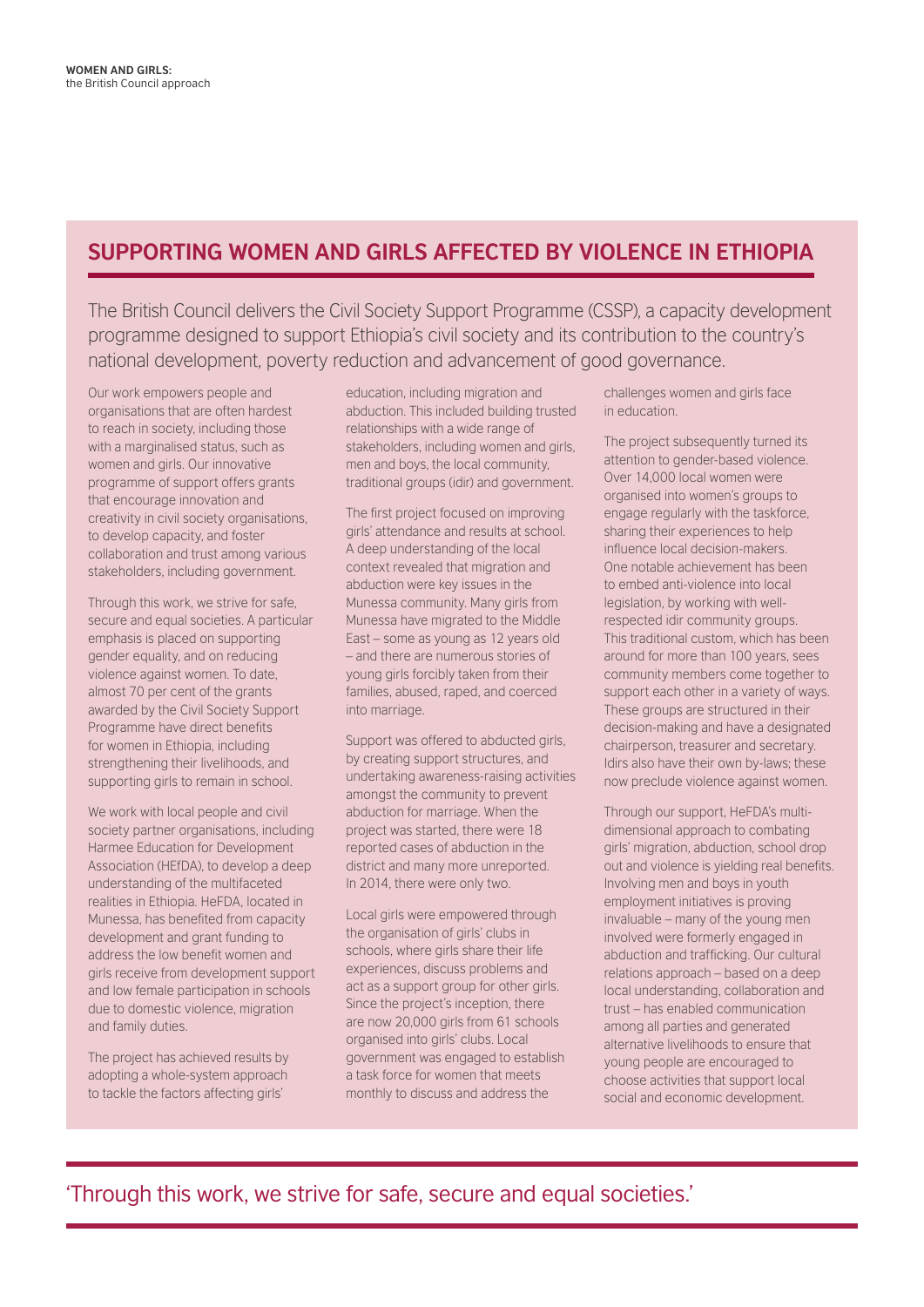### **SUPPORTING WOMEN AND GIRLS AFFECTED BY VIOLENCE IN ETHIOPIA**

The British Council delivers the Civil Society Support Programme (CSSP), a capacity development programme designed to support Ethiopia's civil society and its contribution to the country's national development, poverty reduction and advancement of good governance.

Our work empowers people and organisations that are often hardest to reach in society, including those with a marginalised status, such as women and girls. Our innovative programme of support offers grants that encourage innovation and creativity in civil society organisations, to develop capacity, and foster collaboration and trust among various stakeholders, including government.

Through this work, we strive for safe, secure and equal societies. A particular emphasis is placed on supporting gender equality, and on reducing violence against women. To date, almost 70 per cent of the grants awarded by the Civil Society Support Programme have direct benefits for women in Ethiopia, including strengthening their livelihoods, and supporting girls to remain in school.

We work with local people and civil society partner organisations, including Harmee Education for Development Association (HEfDA), to develop a deep understanding of the multifaceted realities in Ethiopia. HeFDA, located in Munessa, has benefited from capacity development and grant funding to address the low benefit women and girls receive from development support and low female participation in schools due to domestic violence, migration and family duties.

The project has achieved results by adopting a whole-system approach to tackle the factors affecting girls'

education, including migration and abduction. This included building trusted relationships with a wide range of stakeholders, including women and girls, men and boys, the local community, traditional groups (idir) and government.

The first project focused on improving girls' attendance and results at school. A deep understanding of the local context revealed that migration and abduction were key issues in the Munessa community. Many girls from Munessa have migrated to the Middle East – some as young as 12 years old – and there are numerous stories of young girls forcibly taken from their families, abused, raped, and coerced into marriage.

Support was offered to abducted girls, by creating support structures, and undertaking awareness-raising activities amongst the community to prevent abduction for marriage. When the project was started, there were 18 reported cases of abduction in the district and many more unreported. In 2014, there were only two.

Local girls were empowered through the organisation of girls' clubs in schools, where girls share their life experiences, discuss problems and act as a support group for other girls. Since the project's inception, there are now 20,000 girls from 61 schools organised into girls' clubs. Local government was engaged to establish a task force for women that meets monthly to discuss and address the

challenges women and girls face in education.

The project subsequently turned its attention to gender-based violence. Over 14,000 local women were organised into women's groups to engage regularly with the taskforce, sharing their experiences to help influence local decision-makers. One notable achievement has been to embed anti-violence into local legislation, by working with wellrespected idir community groups. This traditional custom, which has been around for more than 100 years, sees community members come together to support each other in a variety of ways. These groups are structured in their decision-making and have a designated chairperson, treasurer and secretary. Idirs also have their own by-laws; these now preclude violence against women.

Through our support, HeFDA's multidimensional approach to combating girls' migration, abduction, school drop out and violence is yielding real benefits. Involving men and boys in youth employment initiatives is proving invaluable – many of the young men involved were formerly engaged in abduction and trafficking. Our cultural relations approach – based on a deep local understanding, collaboration and trust – has enabled communication among all parties and generated alternative livelihoods to ensure that young people are encouraged to choose activities that support local social and economic development.

'Through this work, we strive for safe, secure and equal societies.'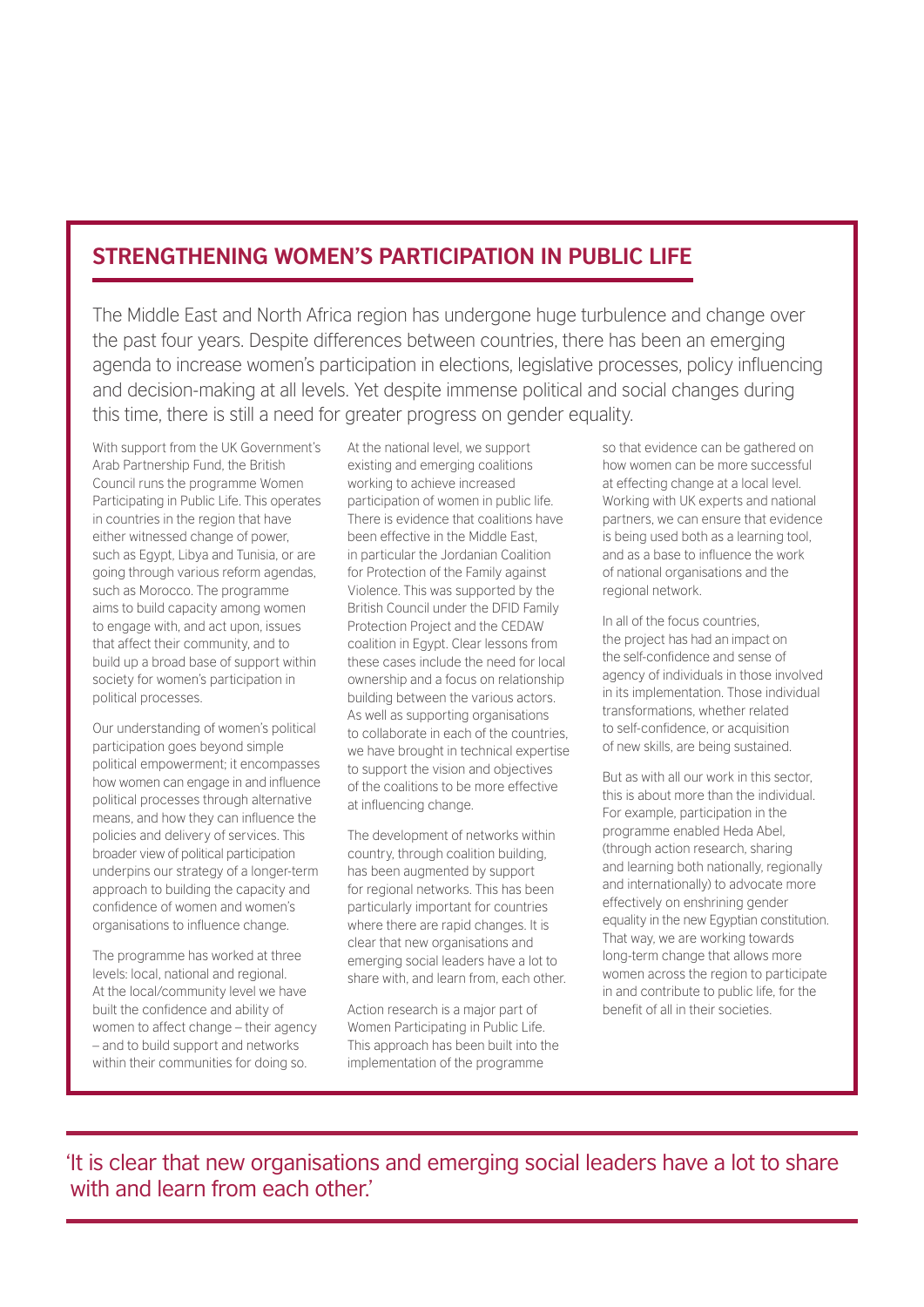## **STRENGTHENING WOMEN'S PARTICIPATION IN PUBLIC LIFE**

The Middle East and North Africa region has undergone huge turbulence and change over the past four years. Despite differences between countries, there has been an emerging agenda to increase women's participation in elections, legislative processes, policy influencing and decision-making at all levels. Yet despite immense political and social changes during this time, there is still a need for greater progress on gender equality.

With support from the UK Government's Arab Partnership Fund, the British Council runs the programme Women Participating in Public Life. This operates in countries in the region that have either witnessed change of power, such as Egypt, Libya and Tunisia, or are going through various reform agendas, such as Morocco. The programme aims to build capacity among women to engage with, and act upon, issues that affect their community, and to build up a broad base of support within society for women's participation in political processes.

Our understanding of women's political participation goes beyond simple political empowerment; it encompasses how women can engage in and influence political processes through alternative means, and how they can influence the policies and delivery of services. This broader view of political participation underpins our strategy of a longer-term approach to building the capacity and confidence of women and women's organisations to influence change.

The programme has worked at three levels: local, national and regional. At the local/community level we have built the confidence and ability of women to affect change – their agency – and to build support and networks within their communities for doing so.

At the national level, we support existing and emerging coalitions working to achieve increased participation of women in public life. There is evidence that coalitions have been effective in the Middle East, in particular the Jordanian Coalition for Protection of the Family against Violence. This was supported by the British Council under the DFID Family Protection Project and the CEDAW coalition in Egypt. Clear lessons from these cases include the need for local ownership and a focus on relationship building between the various actors. As well as supporting organisations to collaborate in each of the countries, we have brought in technical expertise to support the vision and objectives of the coalitions to be more effective at influencing change.

The development of networks within country, through coalition building, has been augmented by support for regional networks. This has been particularly important for countries where there are rapid changes. It is clear that new organisations and emerging social leaders have a lot to share with, and learn from, each other.

Action research is a major part of Women Participating in Public Life. This approach has been built into the implementation of the programme

so that evidence can be gathered on how women can be more successful at effecting change at a local level. Working with UK experts and national partners, we can ensure that evidence is being used both as a learning tool, and as a base to influence the work of national organisations and the regional network.

In all of the focus countries, the project has had an impact on the self-confidence and sense of agency of individuals in those involved in its implementation. Those individual transformations, whether related to self-confidence, or acquisition of new skills, are being sustained.

But as with all our work in this sector, this is about more than the individual. For example, participation in the programme enabled Heda Abel, (through action research, sharing and learning both nationally, regionally and internationally) to advocate more effectively on enshrining gender equality in the new Egyptian constitution. That way, we are working towards long-term change that allows more women across the region to participate in and contribute to public life, for the benefit of all in their societies.

'It is clear that new organisations and emerging social leaders have a lot to share with and learn from each other.'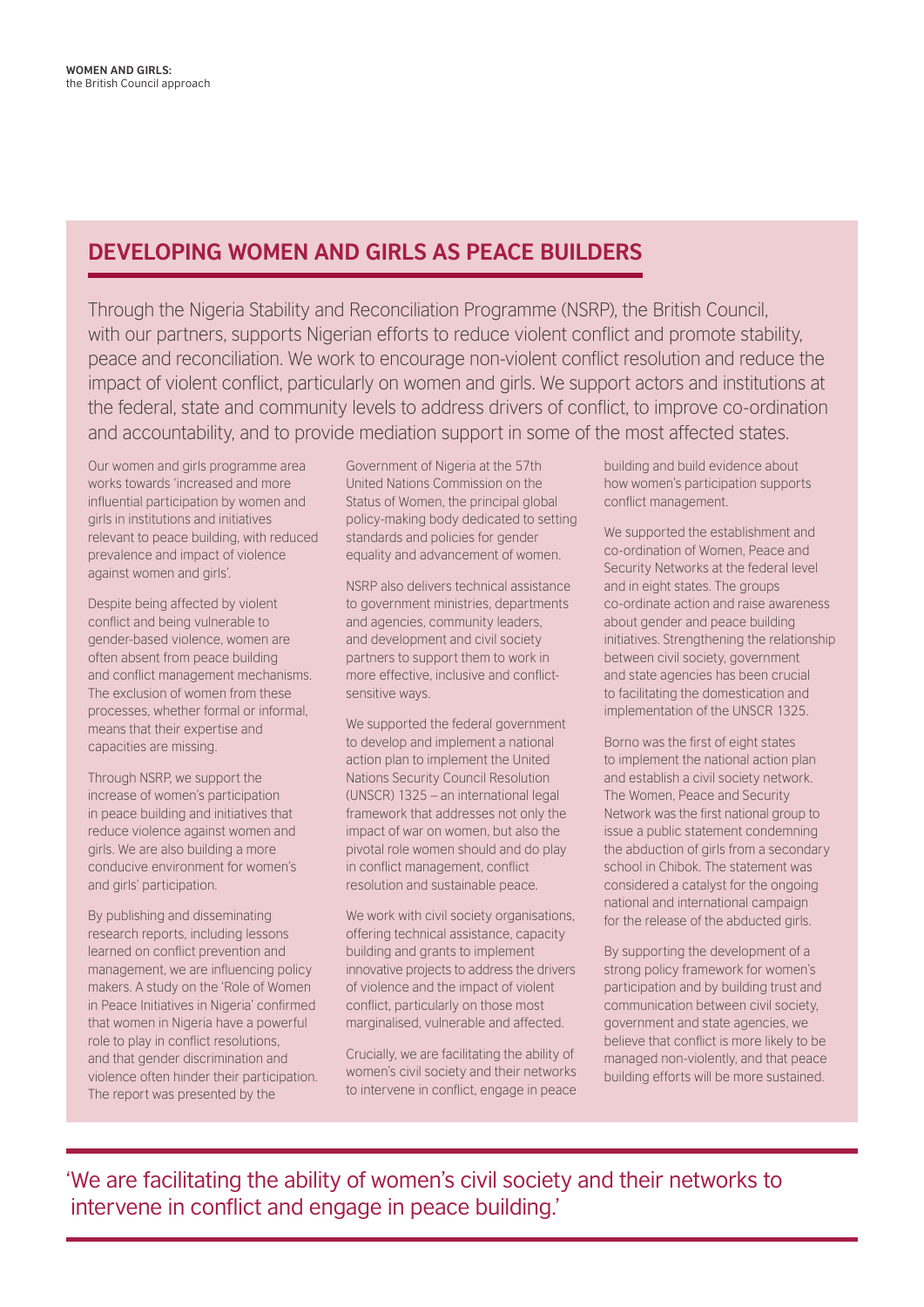## **DEVELOPING WOMEN AND GIRLS AS PEACE BUILDERS**

Through the Nigeria Stability and Reconciliation Programme (NSRP), the British Council, with our partners, supports Nigerian efforts to reduce violent conflict and promote stability. peace and reconciliation. We work to encourage non-violent conflict resolution and reduce the impact of violent conflict, particularly on women and girls. We support actors and institutions at the federal, state and community levels to address drivers of conflict, to improve co-ordination and accountability, and to provide mediation support in some of the most affected states.

Our women and girls programme area works towards 'increased and more influential participation by women and girls in institutions and initiatives relevant to peace building, with reduced prevalence and impact of violence against women and girls'.

Despite being affected by violent conflict and being vulnerable to gender-based violence, women are often absent from peace building and conflict management mechanisms. The exclusion of women from these processes, whether formal or informal, means that their expertise and capacities are missing.

Through NSRP, we support the increase of women's participation in peace building and initiatives that reduce violence against women and girls. We are also building a more conducive environment for women's and girls' participation.

By publishing and disseminating research reports, including lessons learned on conflict prevention and management, we are influencing policy makers. A study on the 'Role of Women in Peace Initiatives in Nigeria' confirmed that women in Nigeria have a powerful role to play in conflict resolutions, and that gender discrimination and violence often hinder their participation. The report was presented by the

Government of Nigeria at the 57th United Nations Commission on the Status of Women, the principal global policy-making body dedicated to setting standards and policies for gender equality and advancement of women.

NSRP also delivers technical assistance to government ministries, departments and agencies, community leaders, and development and civil society partners to support them to work in more effective, inclusive and conflictsensitive ways.

We supported the federal government to develop and implement a national action plan to implement the United Nations Security Council Resolution (UNSCR) 1325 – an international legal framework that addresses not only the impact of war on women, but also the pivotal role women should and do play in conflict management, conflict resolution and sustainable peace.

We work with civil society organisations, offering technical assistance, capacity building and grants to implement innovative projects to address the drivers of violence and the impact of violent conflict, particularly on those most marginalised, vulnerable and affected.

Crucially, we are facilitating the ability of women's civil society and their networks to intervene in conflict, engage in peace building and build evidence about how women's participation supports conflict management.

We supported the establishment and co-ordination of Women, Peace and Security Networks at the federal level and in eight states. The groups co-ordinate action and raise awareness about gender and peace building initiatives. Strengthening the relationship between civil society, government and state agencies has been crucial to facilitating the domestication and implementation of the UNSCR 1325.

Borno was the first of eight states to implement the national action plan and establish a civil society network. The Women, Peace and Security Network was the first national group to issue a public statement condemning the abduction of girls from a secondary school in Chibok. The statement was considered a catalyst for the ongoing national and international campaign for the release of the abducted girls.

By supporting the development of a strong policy framework for women's participation and by building trust and communication between civil society, government and state agencies, we believe that conflict is more likely to be managed non-violently, and that peace building efforts will be more sustained.

'We are facilitating the ability of women's civil society and their networks to intervene in conflict and engage in peace building.'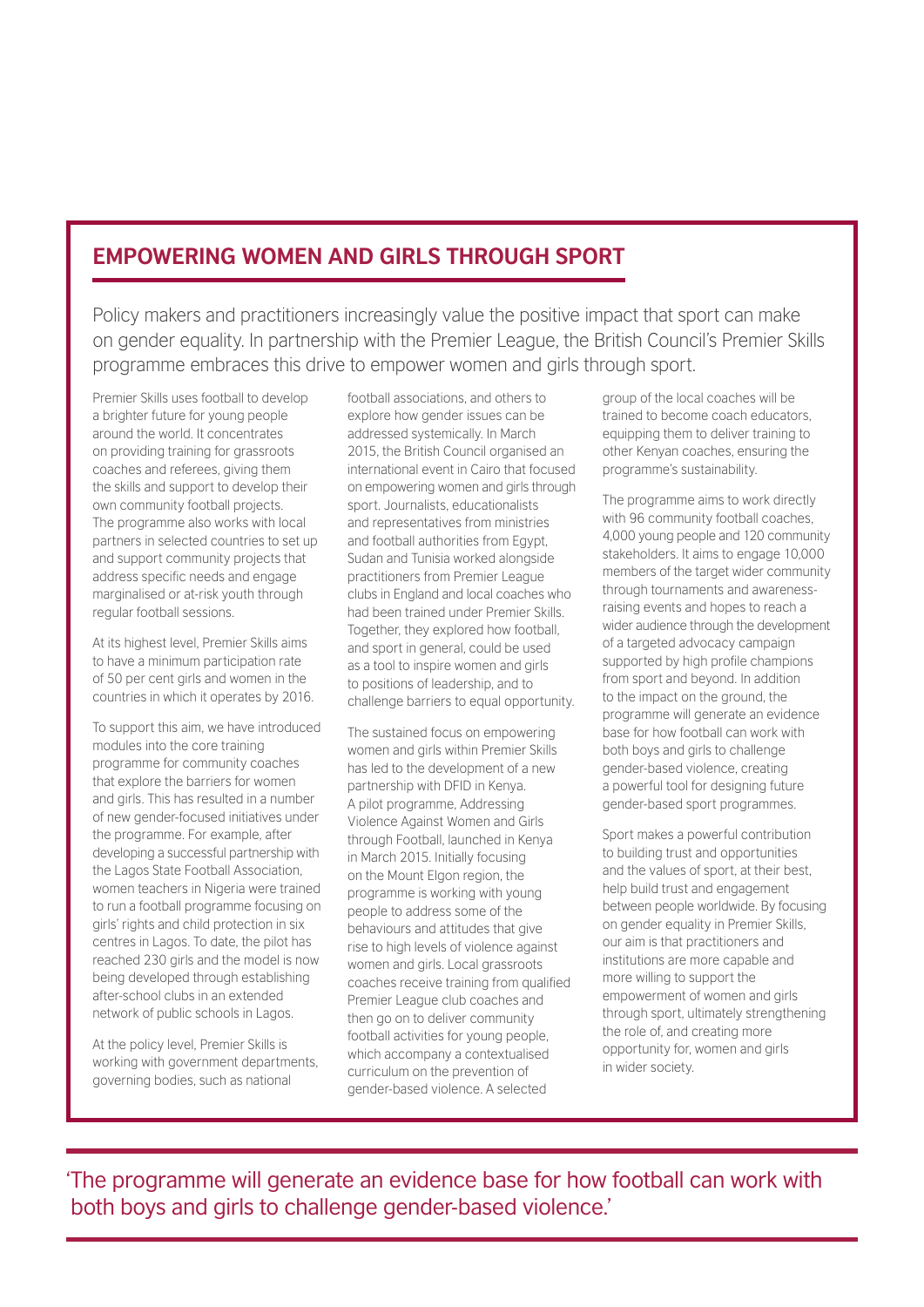## **EMPOWERING WOMEN AND GIRLS THROUGH SPORT**

Policy makers and practitioners increasingly value the positive impact that sport can make on gender equality. In partnership with the Premier League, the British Council's Premier Skills programme embraces this drive to empower women and girls through sport.

Premier Skills uses football to develop a brighter future for young people around the world. It concentrates on providing training for grassroots coaches and referees, giving them the skills and support to develop their own community football projects. The programme also works with local partners in selected countries to set up and support community projects that address specific needs and engage marginalised or at-risk youth through regular football sessions.

At its highest level, Premier Skills aims to have a minimum participation rate of 50 per cent girls and women in the countries in which it operates by 2016.

To support this aim, we have introduced modules into the core training programme for community coaches that explore the barriers for women and girls. This has resulted in a number of new gender-focused initiatives under the programme. For example, after developing a successful partnership with the Lagos State Football Association, women teachers in Nigeria were trained to run a football programme focusing on girls' rights and child protection in six centres in Lagos. To date, the pilot has reached 230 girls and the model is now being developed through establishing after-school clubs in an extended network of public schools in Lagos.

At the policy level, Premier Skills is working with government departments, governing bodies, such as national

football associations, and others to explore how gender issues can be addressed systemically. In March 2015, the British Council organised an international event in Cairo that focused on empowering women and girls through sport. Journalists, educationalists and representatives from ministries and football authorities from Egypt, Sudan and Tunisia worked alongside practitioners from Premier League clubs in England and local coaches who had been trained under Premier Skills. Together, they explored how football, and sport in general, could be used as a tool to inspire women and girls to positions of leadership, and to challenge barriers to equal opportunity.

The sustained focus on empowering women and girls within Premier Skills has led to the development of a new partnership with DFID in Kenya. A pilot programme, Addressing Violence Against Women and Girls through Football, launched in Kenya in March 2015. Initially focusing on the Mount Elgon region, the programme is working with young people to address some of the behaviours and attitudes that give rise to high levels of violence against women and girls. Local grassroots coaches receive training from qualified Premier League club coaches and then go on to deliver community football activities for young people, which accompany a contextualised curriculum on the prevention of gender-based violence. A selected

group of the local coaches will be trained to become coach educators, equipping them to deliver training to other Kenyan coaches, ensuring the programme's sustainability.

The programme aims to work directly with 96 community football coaches, 4,000 young people and 120 community stakeholders. It aims to engage 10,000 members of the target wider community through tournaments and awarenessraising events and hopes to reach a wider audience through the development of a targeted advocacy campaign supported by high profile champions from sport and beyond. In addition to the impact on the ground, the programme will generate an evidence base for how football can work with both boys and girls to challenge gender-based violence, creating a powerful tool for designing future gender-based sport programmes.

Sport makes a powerful contribution to building trust and opportunities and the values of sport, at their best, help build trust and engagement between people worldwide. By focusing on gender equality in Premier Skills, our aim is that practitioners and institutions are more capable and more willing to support the empowerment of women and girls through sport, ultimately strengthening the role of, and creating more opportunity for, women and girls in wider society.

'The programme will generate an evidence base for how football can work with both boys and girls to challenge gender-based violence.'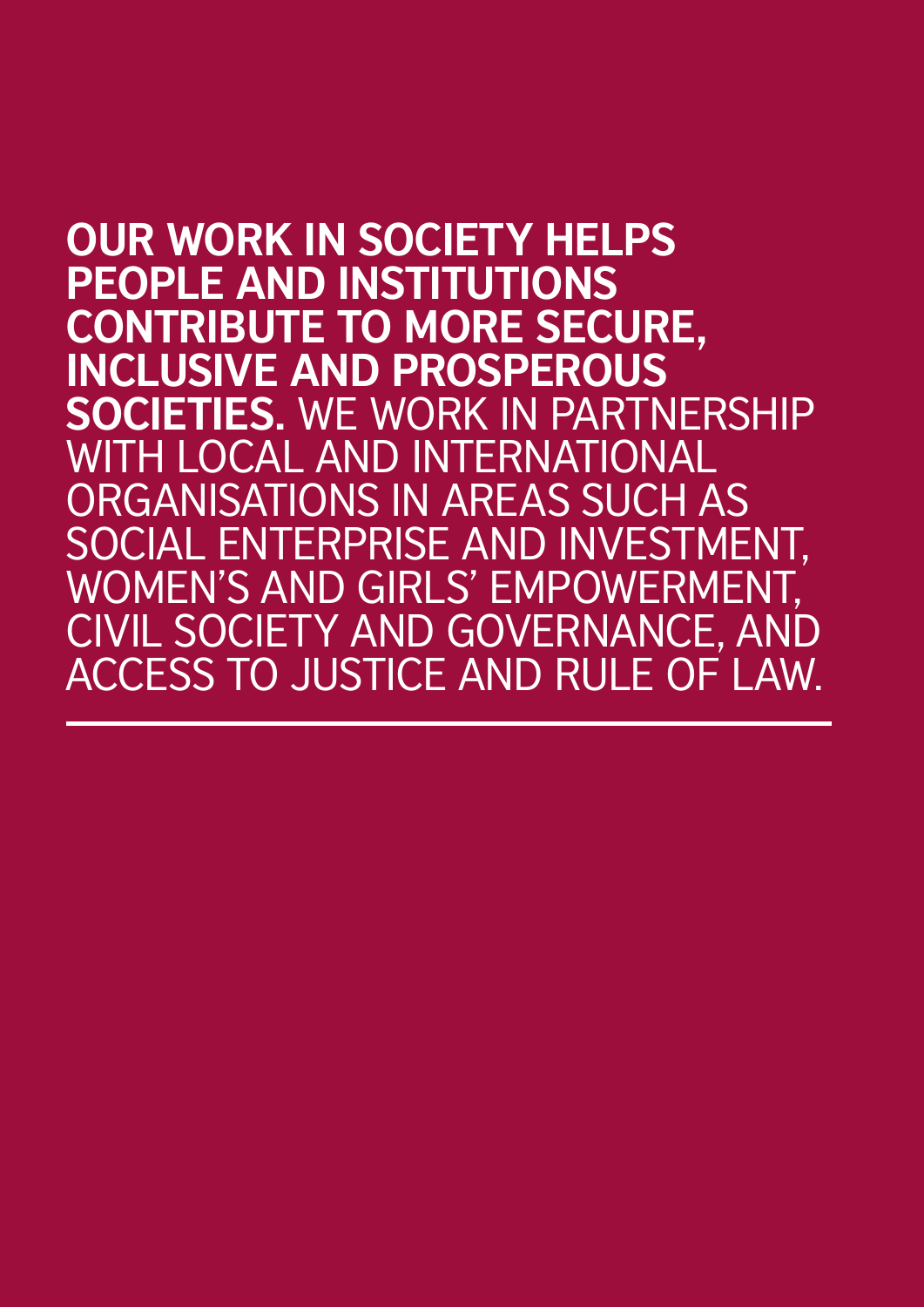**OUR WORK IN SOCIETY HELPS PEOPLE AND INSTITUTIONS CONTRIBUTE TO MORE SECURE, INCLUSIVE AND PROSPEROUS SOCIETIES.** WE WORK IN PARTNERSHIP WITH LOCAL AND INTERNATIONAL ORGANISATIONS IN AREAS SUCH AS SOCIAL ENTERPRISE AND INVESTMENT, WOMEN'S AND GIRLS' EMPOWERMENT, CIVIL SOCIETY AND GOVERNANCE, AND ACCESS TO JUSTICE AND RULE OF LAW.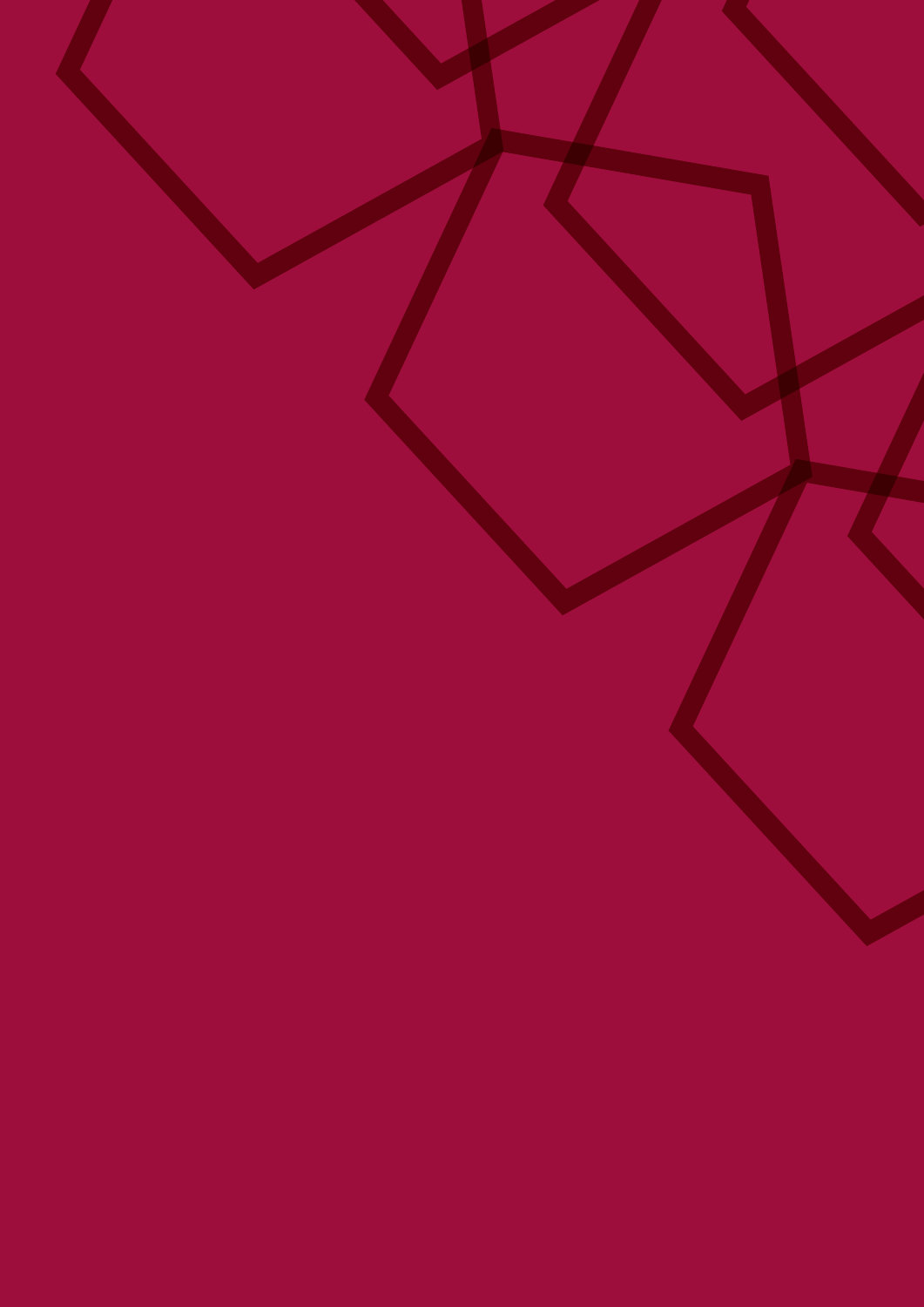